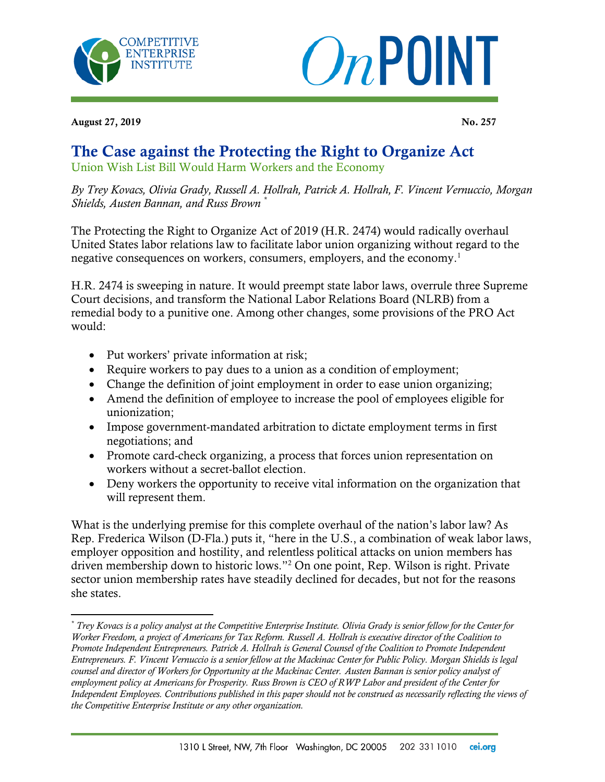



August 27, 2019 No. 257

 $\overline{\phantom{a}}$ 

## The Case against the Protecting the Right to Organize Act

Union Wish List Bill Would Harm Workers and the Economy

*By Trey Kovacs, Olivia Grady, Russell A. Hollrah, Patrick A. Hollrah, F. Vincent Vernuccio, Morgan Shields, Austen Bannan, and Russ Brown \**

The Protecting the Right to Organize Act of 2019 (H.R. 2474) would radically overhaul United States labor relations law to facilitate labor union organizing without regard to the negative consequences on workers, consumers, employers, and the economy.<sup>1</sup>

H.R. 2474 is sweeping in nature. It would preempt state labor laws, overrule three Supreme Court decisions, and transform the National Labor Relations Board (NLRB) from a remedial body to a punitive one. Among other changes, some provisions of the PRO Act would:

- Put workers' private information at risk;
- Require workers to pay dues to a union as a condition of employment;
- Change the definition of joint employment in order to ease union organizing;
- Amend the definition of employee to increase the pool of employees eligible for unionization;
- Impose government-mandated arbitration to dictate employment terms in first negotiations; and
- Promote card-check organizing, a process that forces union representation on workers without a secret-ballot election.
- Deny workers the opportunity to receive vital information on the organization that will represent them.

What is the underlying premise for this complete overhaul of the nation's labor law? As Rep. Frederica Wilson (D-Fla.) puts it, "here in the U.S., a combination of weak labor laws, employer opposition and hostility, and relentless political attacks on union members has driven membership down to historic lows."<sup>2</sup> On one point, Rep. Wilson is right. Private sector union membership rates have steadily declined for decades, but not for the reasons she states.

*<sup>\*</sup> Trey Kovacs is a policy analyst at the Competitive Enterprise Institute. Olivia Grady is senior fellow for the Center for Worker Freedom, a project of Americans for Tax Reform. Russell A. Hollrah is executive director of the Coalition to Promote Independent Entrepreneurs. Patrick A. Hollrah is General Counsel of the Coalition to Promote Independent Entrepreneurs. F. Vincent Vernuccio is a senior fellow at the Mackinac Center for Public Policy. Morgan Shields is legal counsel and director of Workers for Opportunity at the Mackinac Center. Austen Bannan is senior policy analyst of employment policy at Americans for Prosperity. Russ Brown is CEO of RWP Labor and president of the Center for Independent Employees. Contributions published in this paper should not be construed as necessarily reflecting the views of the Competitive Enterprise Institute or any other organization.*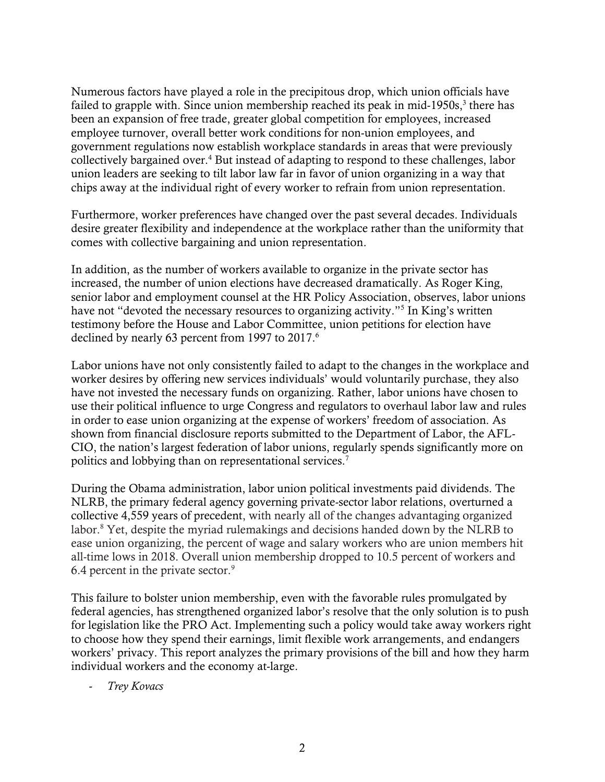Numerous factors have played a role in the precipitous drop, which union officials have failed to grapple with. Since union membership reached its peak in mid-1950s,<sup>3</sup> there has been an expansion of free trade, greater global competition for employees, increased employee turnover, overall better work conditions for non-union employees, and government regulations now establish workplace standards in areas that were previously collectively bargained over.<sup>4</sup> But instead of adapting to respond to these challenges, labor union leaders are seeking to tilt labor law far in favor of union organizing in a way that chips away at the individual right of every worker to refrain from union representation.

Furthermore, worker preferences have changed over the past several decades. Individuals desire greater flexibility and independence at the workplace rather than the uniformity that comes with collective bargaining and union representation.

In addition, as the number of workers available to organize in the private sector has increased, the number of union elections have decreased dramatically. As Roger King, senior labor and employment counsel at the HR Policy Association, observes, labor unions have not "devoted the necessary resources to organizing activity."<sup>5</sup> In King's written testimony before the House and Labor Committee, union petitions for election have declined by nearly 63 percent from 1997 to 2017.<sup>6</sup>

Labor unions have not only consistently failed to adapt to the changes in the workplace and worker desires by offering new services individuals' would voluntarily purchase, they also have not invested the necessary funds on organizing. Rather, labor unions have chosen to use their political influence to urge Congress and regulators to overhaul labor law and rules in order to ease union organizing at the expense of workers' freedom of association. As shown from financial disclosure reports submitted to the Department of Labor, the AFL-CIO, the nation's largest federation of labor unions, regularly spends significantly more on politics and lobbying than on representational services.<sup>7</sup>

During the Obama administration, labor union political investments paid dividends. The NLRB, the primary federal agency governing private-sector labor relations, overturned a collective 4,559 years of precedent, with nearly all of the changes advantaging organized labor.<sup>8</sup> Yet, despite the myriad rulemakings and decisions handed down by the NLRB to ease union organizing, the percent of wage and salary workers who are union members hit all-time lows in 2018. Overall union membership dropped to 10.5 percent of workers and 6.4 percent in the private sector.<sup>9</sup>

This failure to bolster union membership, even with the favorable rules promulgated by federal agencies, has strengthened organized labor's resolve that the only solution is to push for legislation like the PRO Act. Implementing such a policy would take away workers right to choose how they spend their earnings, limit flexible work arrangements, and endangers workers' privacy. This report analyzes the primary provisions of the bill and how they harm individual workers and the economy at-large.

- *Trey Kovacs*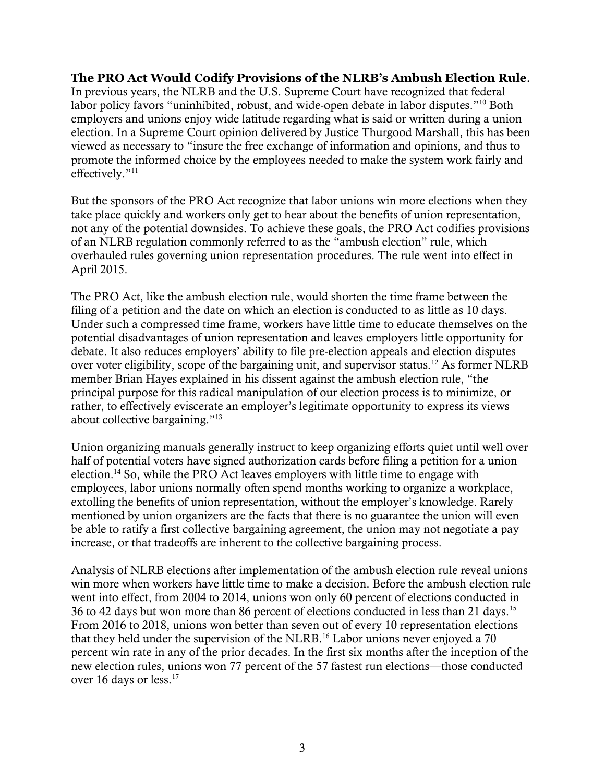**The PRO Act Would Codify Provisions of the NLRB's Ambush Election Rule**. In previous years, the NLRB and the U.S. Supreme Court have recognized that federal labor policy favors "uninhibited, robust, and wide-open debate in labor disputes."<sup>10</sup> Both employers and unions enjoy wide latitude regarding what is said or written during a union election. In a Supreme Court opinion delivered by Justice Thurgood Marshall, this has been viewed as necessary to "insure the free exchange of information and opinions, and thus to promote the informed choice by the employees needed to make the system work fairly and effectively."<sup>11</sup>

But the sponsors of the PRO Act recognize that labor unions win more elections when they take place quickly and workers only get to hear about the benefits of union representation, not any of the potential downsides. To achieve these goals, the PRO Act codifies provisions of an NLRB regulation commonly referred to as the "ambush election" rule, which overhauled rules governing union representation procedures. The rule went into effect in April 2015.

The PRO Act, like the ambush election rule, would shorten the time frame between the filing of a petition and the date on which an election is conducted to as little as 10 days. Under such a compressed time frame, workers have little time to educate themselves on the potential disadvantages of union representation and leaves employers little opportunity for debate. It also reduces employers' ability to file pre-election appeals and election disputes over voter eligibility, scope of the bargaining unit, and supervisor status.<sup>12</sup> As former NLRB member Brian Hayes explained in his dissent against the ambush election rule, "the principal purpose for this radical manipulation of our election process is to minimize, or rather, to effectively eviscerate an employer's legitimate opportunity to express its views about collective bargaining."<sup>13</sup>

Union organizing manuals generally instruct to keep organizing efforts quiet until well over half of potential voters have signed authorization cards before filing a petition for a union election.<sup>14</sup> So, while the PRO Act leaves employers with little time to engage with employees, labor unions normally often spend months working to organize a workplace, extolling the benefits of union representation, without the employer's knowledge. Rarely mentioned by union organizers are the facts that there is no guarantee the union will even be able to ratify a first collective bargaining agreement, the union may not negotiate a pay increase, or that tradeoffs are inherent to the collective bargaining process.

Analysis of NLRB elections after implementation of the ambush election rule reveal unions win more when workers have little time to make a decision. Before the ambush election rule went into effect, from 2004 to 2014, unions won only 60 percent of elections conducted in 36 to 42 days but won more than 86 percent of elections conducted in less than 21 days.<sup>15</sup> From 2016 to 2018, unions won better than seven out of every 10 representation elections that they held under the supervision of the NLRB.<sup>16</sup> Labor unions never enjoyed a 70 percent win rate in any of the prior decades. In the first six months after the inception of the new election rules, unions won 77 percent of the 57 fastest run elections—those conducted over 16 days or less.<sup>17</sup>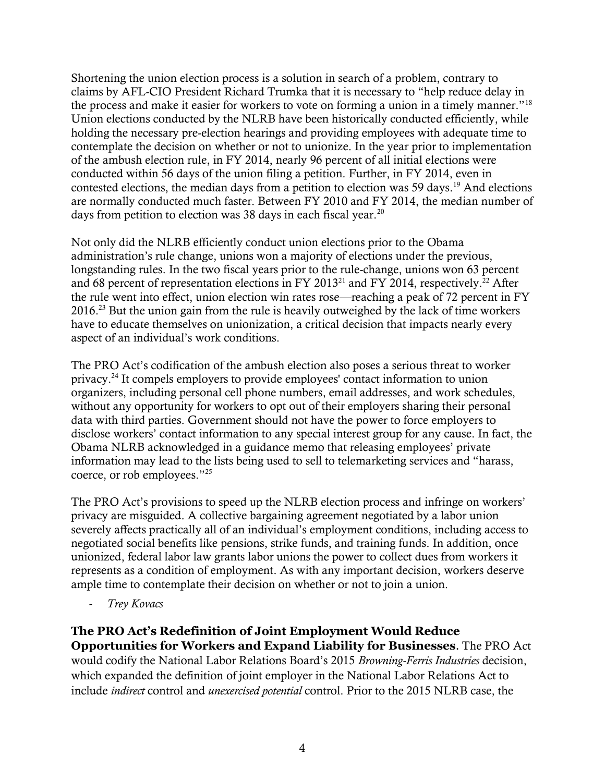Shortening the union election process is a solution in search of a problem, contrary to claims by AFL-CIO President Richard Trumka that it is necessary to "help reduce delay in the process and make it easier for workers to vote on forming a union in a timely manner."<sup>18</sup> Union elections conducted by the NLRB have been historically conducted efficiently, while holding the necessary pre-election hearings and providing employees with adequate time to contemplate the decision on whether or not to unionize. In the year prior to implementation of the ambush election rule, in FY 2014, nearly 96 percent of all initial elections were conducted within 56 days of the union filing a petition. Further, in FY 2014, even in contested elections, the median days from a petition to election was 59 days.<sup>19</sup> And elections are normally conducted much faster. Between FY 2010 and FY 2014, the median number of days from petition to election was 38 days in each fiscal year.<sup>20</sup>

Not only did the NLRB efficiently conduct union elections prior to the Obama administration's rule change, unions won a majority of elections under the previous, longstanding rules. In the two fiscal years prior to the rule-change, unions won 63 percent and 68 percent of representation elections in FY 2013<sup>21</sup> and FY 2014, respectively.<sup>22</sup> After the rule went into effect, union election win rates rose—reaching a peak of 72 percent in FY 2016.<sup>23</sup> But the union gain from the rule is heavily outweighed by the lack of time workers have to educate themselves on unionization, a critical decision that impacts nearly every aspect of an individual's work conditions.

The PRO Act's codification of the ambush election also poses a serious threat to worker privacy.<sup>24</sup> It compels employers to provide employees' contact information to union organizers, including personal cell phone numbers, email addresses, and work schedules, without any opportunity for workers to opt out of their employers sharing their personal data with third parties. Government should not have the power to force employers to disclose workers' contact information to any special interest group for any cause. In fact, the Obama NLRB acknowledged in a guidance memo that releasing employees' private information may lead to the lists being used to sell to telemarketing services and "harass, coerce, or rob employees."<sup>25</sup>

The PRO Act's provisions to speed up the NLRB election process and infringe on workers' privacy are misguided. A collective bargaining agreement negotiated by a labor union severely affects practically all of an individual's employment conditions, including access to negotiated social benefits like pensions, strike funds, and training funds. In addition, once unionized, federal labor law grants labor unions the power to collect dues from workers it represents as a condition of employment. As with any important decision, workers deserve ample time to contemplate their decision on whether or not to join a union.

- *Trey Kovacs*

**The PRO Act's Redefinition of Joint Employment Would Reduce Opportunities for Workers and Expand Liability for Businesses**. The PRO Act would codify the National Labor Relations Board's 2015 *Browning-Ferris Industries* decision, which expanded the definition of joint employer in the National Labor Relations Act to include *indirect* control and *unexercised potential* control. Prior to the 2015 NLRB case, the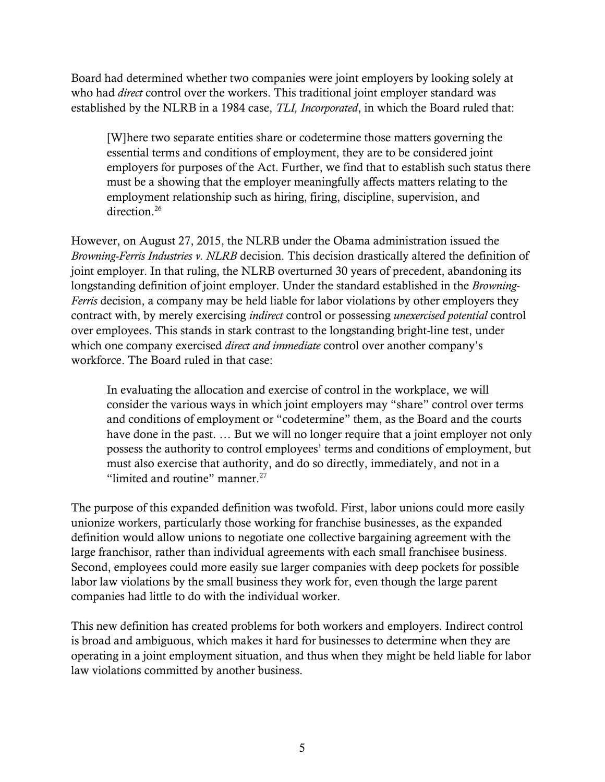Board had determined whether two companies were joint employers by looking solely at who had *direct* control over the workers. This traditional joint employer standard was established by the NLRB in a 1984 case, *TLI, Incorporated*, in which the Board ruled that:

[W]here two separate entities share or codetermine those matters governing the essential terms and conditions of employment, they are to be considered joint employers for purposes of the Act. Further, we find that to establish such status there must be a showing that the employer meaningfully affects matters relating to the employment relationship such as hiring, firing, discipline, supervision, and direction.<sup>26</sup>

However, on August 27, 2015, the NLRB under the Obama administration issued the *Browning-Ferris Industries v. NLRB* decision. This decision drastically altered the definition of joint employer. In that ruling, the NLRB overturned 30 years of precedent, abandoning its longstanding definition of joint employer. Under the standard established in the *Browning-Ferris* decision, a company may be held liable for labor violations by other employers they contract with, by merely exercising *indirect* control or possessing *unexercised potential* control over employees. This stands in stark contrast to the longstanding bright-line test, under which one company exercised *direct and immediate* control over another company's workforce. The Board ruled in that case:

In evaluating the allocation and exercise of control in the workplace, we will consider the various ways in which joint employers may "share" control over terms and conditions of employment or "codetermine" them, as the Board and the courts have done in the past. … But we will no longer require that a joint employer not only possess the authority to control employees' terms and conditions of employment, but must also exercise that authority, and do so directly, immediately, and not in a "limited and routine" manner. $27$ 

The purpose of this expanded definition was twofold. First, labor unions could more easily unionize workers, particularly those working for franchise businesses, as the expanded definition would allow unions to negotiate one collective bargaining agreement with the large franchisor, rather than individual agreements with each small franchisee business. Second, employees could more easily sue larger companies with deep pockets for possible labor law violations by the small business they work for, even though the large parent companies had little to do with the individual worker.

This new definition has created problems for both workers and employers. Indirect control is broad and ambiguous, which makes it hard for businesses to determine when they are operating in a joint employment situation, and thus when they might be held liable for labor law violations committed by another business.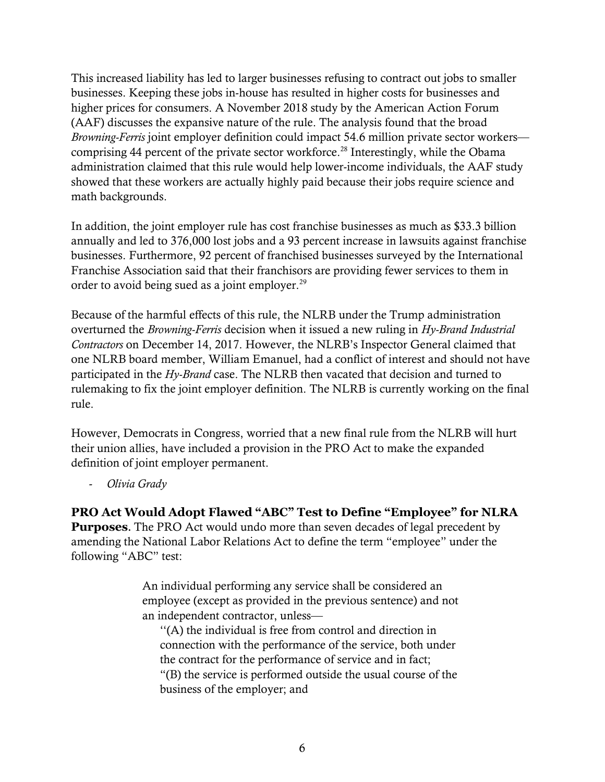This increased liability has led to larger businesses refusing to contract out jobs to smaller businesses. Keeping these jobs in-house has resulted in higher costs for businesses and higher prices for consumers. A November 2018 study by the American Action Forum (AAF) discusses the expansive nature of the rule. The analysis found that the broad *Browning-Ferris* joint employer definition could impact 54.6 million private sector workers comprising 44 percent of the private sector workforce.<sup>28</sup> Interestingly, while the Obama administration claimed that this rule would help lower-income individuals, the AAF study showed that these workers are actually highly paid because their jobs require science and math backgrounds.

In addition, the joint employer rule has cost franchise businesses as much as \$33.3 billion annually and led to 376,000 lost jobs and a 93 percent increase in lawsuits against franchise businesses. Furthermore, 92 percent of franchised businesses surveyed by the International Franchise Association said that their franchisors are providing fewer services to them in order to avoid being sued as a joint employer.<sup>29</sup>

Because of the harmful effects of this rule, the NLRB under the Trump administration overturned the *Browning-Ferris* decision when it issued a new ruling in *Hy-Brand Industrial Contractors* on December 14, 2017. However, the NLRB's Inspector General claimed that one NLRB board member, William Emanuel, had a conflict of interest and should not have participated in the *Hy-Brand* case. The NLRB then vacated that decision and turned to rulemaking to fix the joint employer definition. The NLRB is currently working on the final rule.

However, Democrats in Congress, worried that a new final rule from the NLRB will hurt their union allies, have included a provision in the PRO Act to make the expanded definition of joint employer permanent.

- *Olivia Grady*

**PRO Act Would Adopt Flawed "ABC" Test to Define "Employee" for NLRA Purposes**. The PRO Act would undo more than seven decades of legal precedent by amending the National Labor Relations Act to define the term "employee" under the following "ABC" test:

> An individual performing any service shall be considered an employee (except as provided in the previous sentence) and not an independent contractor, unless—

''(A) the individual is free from control and direction in connection with the performance of the service, both under the contract for the performance of service and in fact; "(B) the service is performed outside the usual course of the business of the employer; and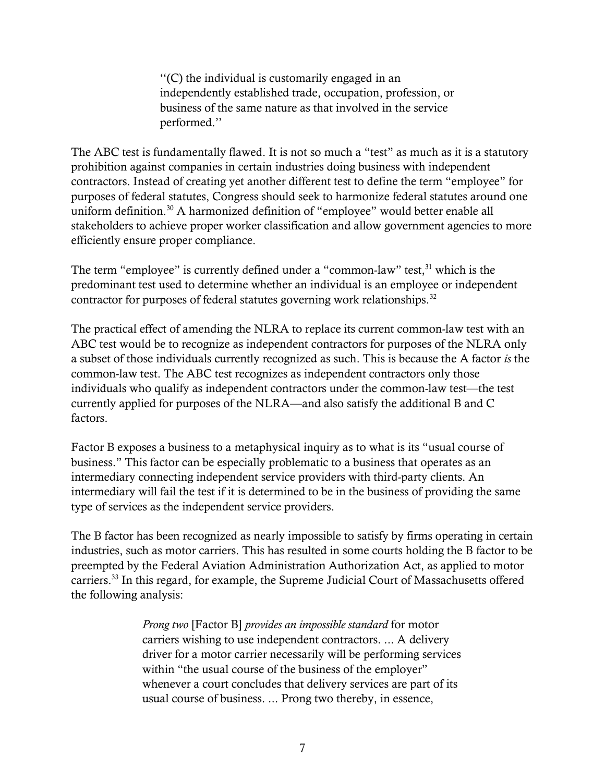''(C) the individual is customarily engaged in an independently established trade, occupation, profession, or business of the same nature as that involved in the service performed.''

The ABC test is fundamentally flawed. It is not so much a "test" as much as it is a statutory prohibition against companies in certain industries doing business with independent contractors. Instead of creating yet another different test to define the term "employee" for purposes of federal statutes, Congress should seek to harmonize federal statutes around one uniform definition.<sup>30</sup> A harmonized definition of "employee" would better enable all stakeholders to achieve proper worker classification and allow government agencies to more efficiently ensure proper compliance.

The term "employee" is currently defined under a "common-law" test,<sup>31</sup> which is the predominant test used to determine whether an individual is an employee or independent contractor for purposes of federal statutes governing work relationships.<sup>32</sup>

The practical effect of amending the NLRA to replace its current common-law test with an ABC test would be to recognize as independent contractors for purposes of the NLRA only a subset of those individuals currently recognized as such. This is because the A factor *is* the common-law test. The ABC test recognizes as independent contractors only those individuals who qualify as independent contractors under the common-law test—the test currently applied for purposes of the NLRA—and also satisfy the additional B and C factors.

Factor B exposes a business to a metaphysical inquiry as to what is its "usual course of business." This factor can be especially problematic to a business that operates as an intermediary connecting independent service providers with third-party clients. An intermediary will fail the test if it is determined to be in the business of providing the same type of services as the independent service providers.

The B factor has been recognized as nearly impossible to satisfy by firms operating in certain industries, such as motor carriers. This has resulted in some courts holding the B factor to be preempted by the Federal Aviation Administration Authorization Act, as applied to motor carriers.<sup>33</sup> In this regard, for example, the Supreme Judicial Court of Massachusetts offered the following analysis:

> *Prong two* [Factor B] *provides an impossible standard* for motor carriers wishing to use independent contractors. ... A delivery driver for a motor carrier necessarily will be performing services within "the usual course of the business of the employer" whenever a court concludes that delivery services are part of its usual course of business. ... Prong two thereby, in essence,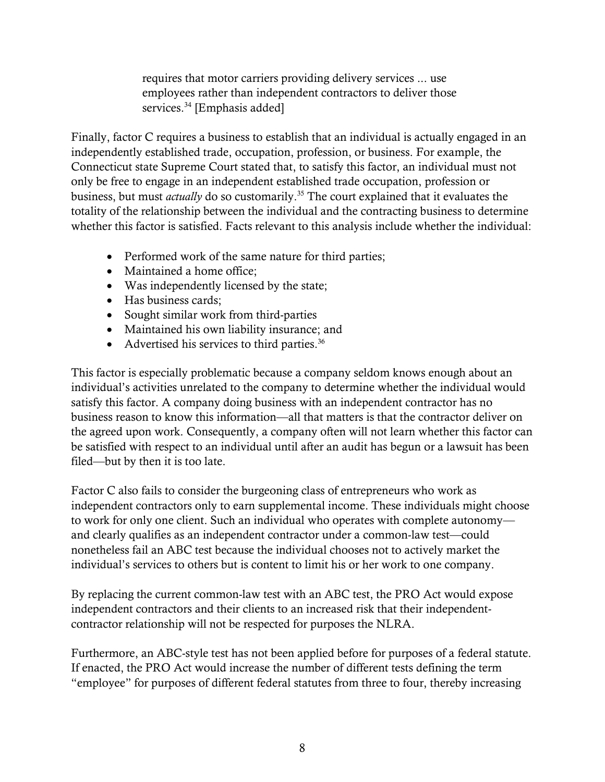requires that motor carriers providing delivery services ... use employees rather than independent contractors to deliver those services. <sup>34</sup> [Emphasis added]

Finally, factor C requires a business to establish that an individual is actually engaged in an independently established trade, occupation, profession, or business. For example, the Connecticut state Supreme Court stated that, to satisfy this factor, an individual must not only be free to engage in an independent established trade occupation, profession or business, but must *actually* do so customarily.<sup>35</sup> The court explained that it evaluates the totality of the relationship between the individual and the contracting business to determine whether this factor is satisfied. Facts relevant to this analysis include whether the individual:

- Performed work of the same nature for third parties;
- Maintained a home office;
- Was independently licensed by the state;
- Has business cards;
- Sought similar work from third-parties
- Maintained his own liability insurance; and
- Advertised his services to third parties. $36$

This factor is especially problematic because a company seldom knows enough about an individual's activities unrelated to the company to determine whether the individual would satisfy this factor. A company doing business with an independent contractor has no business reason to know this information—all that matters is that the contractor deliver on the agreed upon work. Consequently, a company often will not learn whether this factor can be satisfied with respect to an individual until after an audit has begun or a lawsuit has been filed—but by then it is too late.

Factor C also fails to consider the burgeoning class of entrepreneurs who work as independent contractors only to earn supplemental income. These individuals might choose to work for only one client. Such an individual who operates with complete autonomy and clearly qualifies as an independent contractor under a common-law test—could nonetheless fail an ABC test because the individual chooses not to actively market the individual's services to others but is content to limit his or her work to one company.

By replacing the current common-law test with an ABC test, the PRO Act would expose independent contractors and their clients to an increased risk that their independentcontractor relationship will not be respected for purposes the NLRA.

Furthermore, an ABC-style test has not been applied before for purposes of a federal statute. If enacted, the PRO Act would increase the number of different tests defining the term "employee" for purposes of different federal statutes from three to four, thereby increasing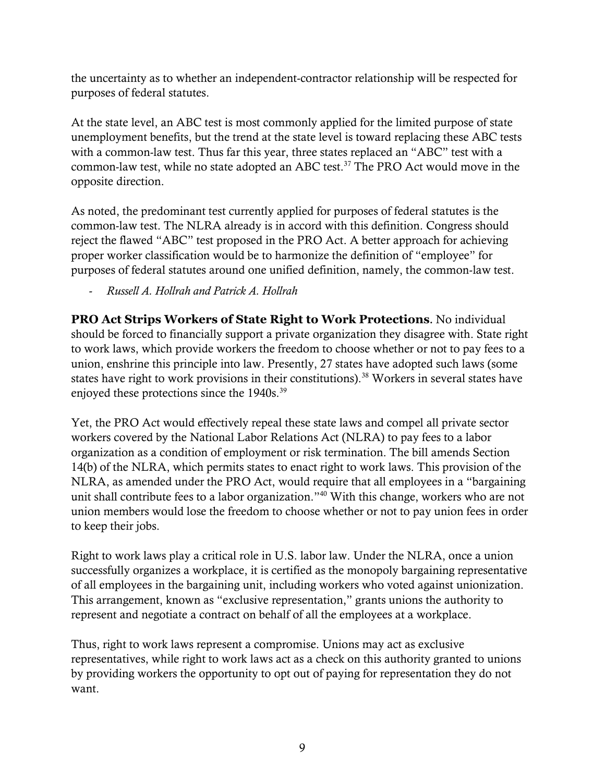the uncertainty as to whether an independent-contractor relationship will be respected for purposes of federal statutes.

At the state level, an ABC test is most commonly applied for the limited purpose of state unemployment benefits, but the trend at the state level is toward replacing these ABC tests with a common-law test. Thus far this year, three states replaced an "ABC" test with a common-law test, while no state adopted an ABC test.<sup>37</sup> The PRO Act would move in the opposite direction.

As noted, the predominant test currently applied for purposes of federal statutes is the common-law test. The NLRA already is in accord with this definition. Congress should reject the flawed "ABC" test proposed in the PRO Act. A better approach for achieving proper worker classification would be to harmonize the definition of "employee" for purposes of federal statutes around one unified definition, namely, the common-law test.

- *Russell A. Hollrah and Patrick A. Hollrah*

**PRO Act Strips Workers of State Right to Work Protections**. No individual should be forced to financially support a private organization they disagree with. State right to work laws, which provide workers the freedom to choose whether or not to pay fees to a union, enshrine this principle into law. Presently, 27 states have adopted such laws (some states have right to work provisions in their constitutions).<sup>38</sup> Workers in several states have enjoyed these protections since the 1940s.<sup>39</sup>

Yet, the PRO Act would effectively repeal these state laws and compel all private sector workers covered by the National Labor Relations Act (NLRA) to pay fees to a labor organization as a condition of employment or risk termination. The bill amends Section 14(b) of the NLRA, which permits states to enact right to work laws. This provision of the NLRA, as amended under the PRO Act, would require that all employees in a "bargaining unit shall contribute fees to a labor organization."<sup>40</sup> With this change, workers who are not union members would lose the freedom to choose whether or not to pay union fees in order to keep their jobs.

Right to work laws play a critical role in U.S. labor law. Under the NLRA, once a union successfully organizes a workplace, it is certified as the monopoly bargaining representative of all employees in the bargaining unit, including workers who voted against unionization. This arrangement, known as "exclusive representation," grants unions the authority to represent and negotiate a contract on behalf of all the employees at a workplace.

Thus, right to work laws represent a compromise. Unions may act as exclusive representatives, while right to work laws act as a check on this authority granted to unions by providing workers the opportunity to opt out of paying for representation they do not want.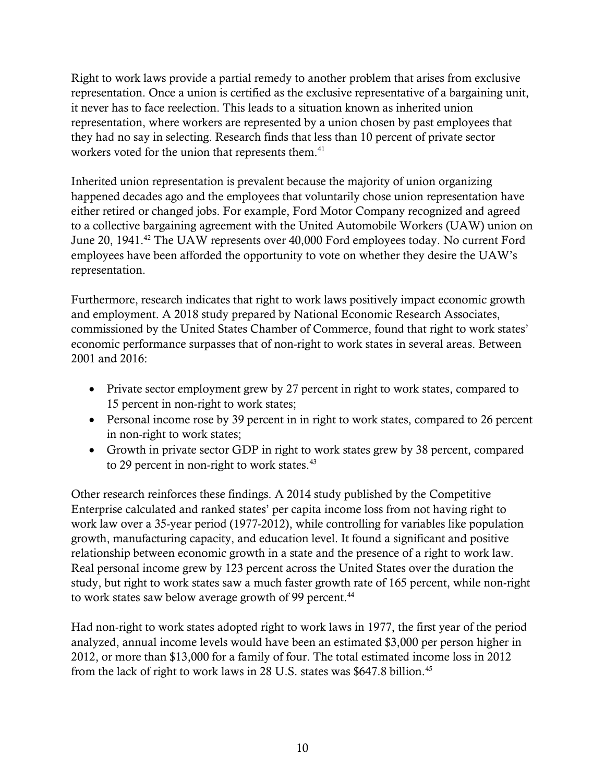Right to work laws provide a partial remedy to another problem that arises from exclusive representation. Once a union is certified as the exclusive representative of a bargaining unit, it never has to face reelection. This leads to a situation known as inherited union representation, where workers are represented by a union chosen by past employees that they had no say in selecting. Research finds that less than 10 percent of private sector workers voted for the union that represents them.<sup>41</sup>

Inherited union representation is prevalent because the majority of union organizing happened decades ago and the employees that voluntarily chose union representation have either retired or changed jobs. For example, Ford Motor Company recognized and agreed to a collective bargaining agreement with the United Automobile Workers (UAW) union on June 20, 1941.<sup>42</sup> The UAW represents over 40,000 Ford employees today. No current Ford employees have been afforded the opportunity to vote on whether they desire the UAW's representation.

Furthermore, research indicates that right to work laws positively impact economic growth and employment. A 2018 study prepared by National Economic Research Associates, commissioned by the United States Chamber of Commerce, found that right to work states' economic performance surpasses that of non-right to work states in several areas. Between 2001 and 2016:

- Private sector employment grew by 27 percent in right to work states, compared to 15 percent in non-right to work states;
- Personal income rose by 39 percent in in right to work states, compared to 26 percent in non-right to work states;
- Growth in private sector GDP in right to work states grew by 38 percent, compared to 29 percent in non-right to work states. $43$

Other research reinforces these findings. A 2014 study published by the Competitive Enterprise calculated and ranked states' per capita income loss from not having right to work law over a 35-year period (1977-2012), while controlling for variables like population growth, manufacturing capacity, and education level. It found a significant and positive relationship between economic growth in a state and the presence of a right to work law. Real personal income grew by 123 percent across the United States over the duration the study, but right to work states saw a much faster growth rate of 165 percent, while non-right to work states saw below average growth of 99 percent.<sup>44</sup>

Had non-right to work states adopted right to work laws in 1977, the first year of the period analyzed, annual income levels would have been an estimated \$3,000 per person higher in 2012, or more than \$13,000 for a family of four. The total estimated income loss in 2012 from the lack of right to work laws in 28 U.S. states was \$647.8 billion.45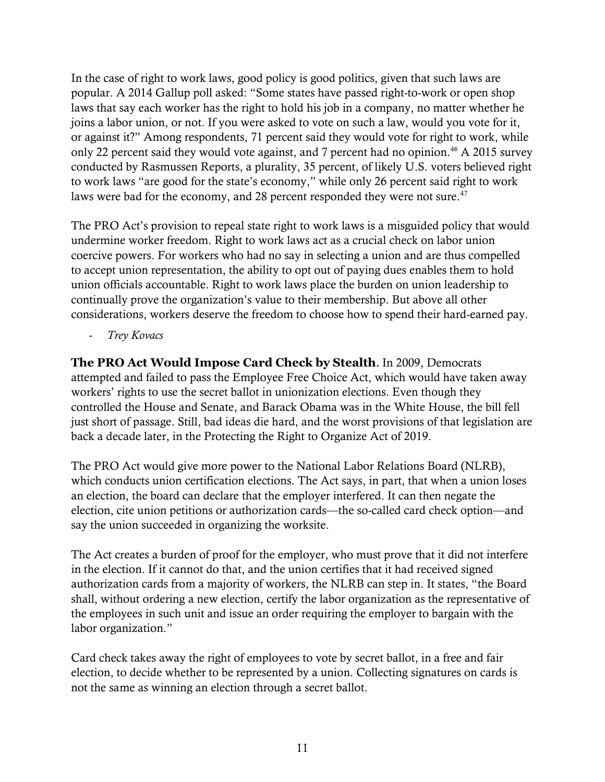In the case of right to work laws, good policy is good politics, given that such laws are popular. A 2014 Gallup poll asked: "Some states have passed right-to-work or open shop laws that say each worker has the right to hold his job in a company, no matter whether he joins a labor union, or not. If you were asked to vote on such a law, would you vote for it, or against it?" Among respondents, 71 percent said they would vote for right to work, while only 22 percent said they would vote against, and 7 percent had no opinion.<sup>46</sup> A 2015 survey conducted by Rasmussen Reports, a plurality, 35 percent, of likely U.S. voters believed right to work laws "are good for the state's economy," while only 26 percent said right to work laws were bad for the economy, and 28 percent responded they were not sure. $47$ 

The PRO Act's provision to repeal state right to work laws is a misguided policy that would undermine worker freedom. Right to work laws act as a crucial check on labor union coercive powers. For workers who had no say in selecting a union and are thus compelled to accept union representation, the ability to opt out of paying dues enables them to hold union officials accountable. Right to work laws place the burden on union leadership to continually prove the organization's value to their membership. But above all other considerations, workers deserve the freedom to choose how to spend their hard-earned pay.

- *Trey Kovacs*

**The PRO Act Would Impose Card Check by Stealth**. In 2009, Democrats attempted and failed to pass the Employee Free Choice Act, which would have taken away workers' rights to use the secret ballot in unionization elections. Even though they controlled the House and Senate, and Barack Obama was in the White House, the bill fell just short of passage. Still, bad ideas die hard, and the worst provisions of that legislation are back a decade later, in the Protecting the Right to Organize Act of 2019.

The PRO Act would give more power to the National Labor Relations Board (NLRB), which conducts union certification elections. The Act says, in part, that when a union loses an election, the board can declare that the employer interfered. It can then negate the election, cite union petitions or authorization cards—the so-called card check option—and say the union succeeded in organizing the worksite.

The Act creates a burden of proof for the employer, who must prove that it did not interfere in the election. If it cannot do that, and the union certifies that it had received signed authorization cards from a majority of workers, the NLRB can step in. It states, "the Board shall, without ordering a new election, certify the labor organization as the representative of the employees in such unit and issue an order requiring the employer to bargain with the labor organization."

Card check takes away the right of employees to vote by secret ballot, in a free and fair election, to decide whether to be represented by a union. Collecting signatures on cards is not the same as winning an election through a secret ballot.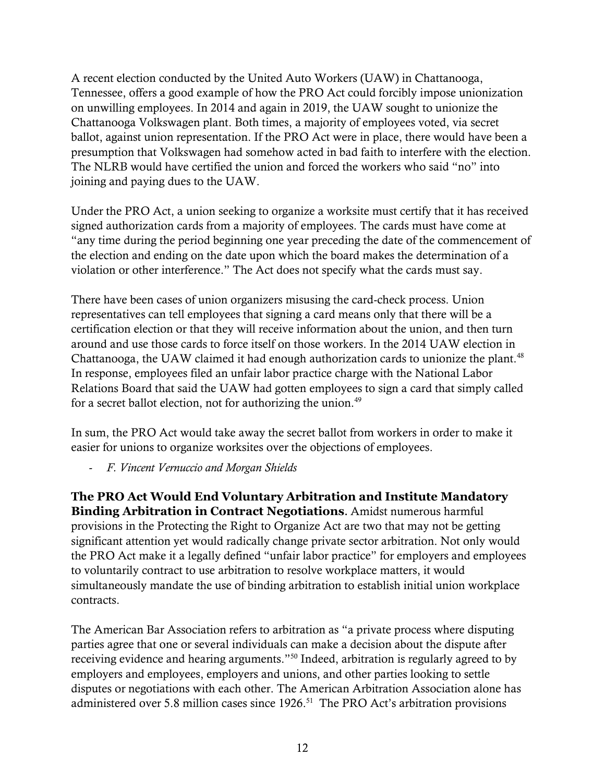A recent election conducted by the United Auto Workers (UAW) in Chattanooga, Tennessee, offers a good example of how the PRO Act could forcibly impose unionization on unwilling employees. In 2014 and again in 2019, the UAW sought to unionize the Chattanooga Volkswagen plant. Both times, a majority of employees voted, via secret ballot, against union representation. If the PRO Act were in place, there would have been a presumption that Volkswagen had somehow acted in bad faith to interfere with the election. The NLRB would have certified the union and forced the workers who said "no" into joining and paying dues to the UAW.

Under the PRO Act, a union seeking to organize a worksite must certify that it has received signed authorization cards from a majority of employees. The cards must have come at "any time during the period beginning one year preceding the date of the commencement of the election and ending on the date upon which the board makes the determination of a violation or other interference." The Act does not specify what the cards must say.

There have been cases of union organizers misusing the card-check process. Union representatives can tell employees that signing a card means only that there will be a certification election or that they will receive information about the union, and then turn around and use those cards to force itself on those workers. In the 2014 UAW election in Chattanooga, the UAW claimed it had enough authorization cards to unionize the plant.<sup>48</sup> In response, employees filed an unfair labor practice charge with the National Labor Relations Board that said the UAW had gotten employees to sign a card that simply called for a secret ballot election, not for authorizing the union.<sup>49</sup>

In sum, the PRO Act would take away the secret ballot from workers in order to make it easier for unions to organize worksites over the objections of employees.

- *F. Vincent Vernuccio and Morgan Shields*

**The PRO Act Would End Voluntary Arbitration and Institute Mandatory Binding Arbitration in Contract Negotiations**. Amidst numerous harmful provisions in the Protecting the Right to Organize Act are two that may not be getting significant attention yet would radically change private sector arbitration. Not only would the PRO Act make it a legally defined "unfair labor practice" for employers and employees to voluntarily contract to use arbitration to resolve workplace matters, it would simultaneously mandate the use of binding arbitration to establish initial union workplace contracts.

The American Bar Association refers to arbitration as "a private process where disputing parties agree that one or several individuals can make a decision about the dispute after receiving evidence and hearing arguments."<sup>50</sup> Indeed, arbitration is regularly agreed to by employers and employees, employers and unions, and other parties looking to settle disputes or negotiations with each other. The American Arbitration Association alone has administered over 5.8 million cases since  $1926$ .<sup>51</sup> The PRO Act's arbitration provisions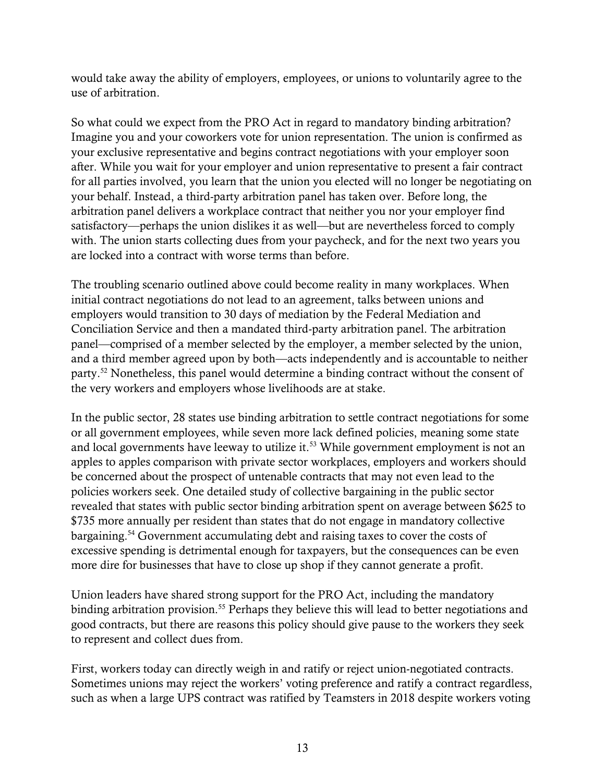would take away the ability of employers, employees, or unions to voluntarily agree to the use of arbitration.

So what could we expect from the PRO Act in regard to mandatory binding arbitration? Imagine you and your coworkers vote for union representation. The union is confirmed as your exclusive representative and begins contract negotiations with your employer soon after. While you wait for your employer and union representative to present a fair contract for all parties involved, you learn that the union you elected will no longer be negotiating on your behalf. Instead, a third-party arbitration panel has taken over. Before long, the arbitration panel delivers a workplace contract that neither you nor your employer find satisfactory—perhaps the union dislikes it as well—but are nevertheless forced to comply with. The union starts collecting dues from your paycheck, and for the next two years you are locked into a contract with worse terms than before.

The troubling scenario outlined above could become reality in many workplaces. When initial contract negotiations do not lead to an agreement, talks between unions and employers would transition to 30 days of mediation by the Federal Mediation and Conciliation Service and then a mandated third-party arbitration panel. The arbitration panel—comprised of a member selected by the employer, a member selected by the union, and a third member agreed upon by both—acts independently and is accountable to neither party.<sup>52</sup> Nonetheless, this panel would determine a binding contract without the consent of the very workers and employers whose livelihoods are at stake.

In the public sector, 28 states use binding arbitration to settle contract negotiations for some or all government employees, while seven more lack defined policies, meaning some state and local governments have leeway to utilize it.<sup>53</sup> While government employment is not an apples to apples comparison with private sector workplaces, employers and workers should be concerned about the prospect of untenable contracts that may not even lead to the policies workers seek. One detailed study of collective bargaining in the public sector revealed that states with public sector binding arbitration spent on average between \$625 to \$735 more annually per resident than states that do not engage in mandatory collective bargaining.<sup>54</sup> Government accumulating debt and raising taxes to cover the costs of excessive spending is detrimental enough for taxpayers, but the consequences can be even more dire for businesses that have to close up shop if they cannot generate a profit.

Union leaders have shared strong support for the PRO Act, including the mandatory binding arbitration provision.<sup>55</sup> Perhaps they believe this will lead to better negotiations and good contracts, but there are reasons this policy should give pause to the workers they seek to represent and collect dues from.

First, workers today can directly weigh in and ratify or reject union-negotiated contracts. Sometimes unions may reject the workers' voting preference and ratify a contract regardless, such as when a large UPS contract was ratified by Teamsters in 2018 despite workers voting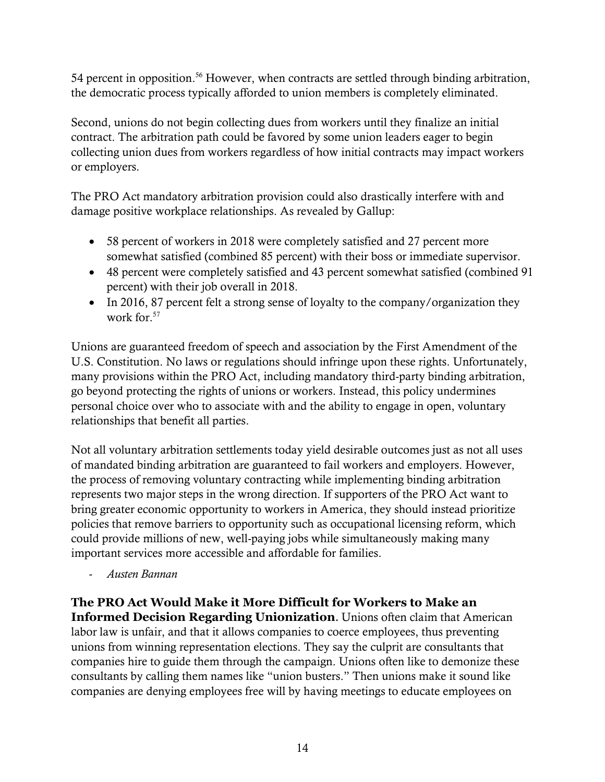54 percent in opposition.<sup>56</sup> However, when contracts are settled through binding arbitration, the democratic process typically afforded to union members is completely eliminated.

Second, unions do not begin collecting dues from workers until they finalize an initial contract. The arbitration path could be favored by some union leaders eager to begin collecting union dues from workers regardless of how initial contracts may impact workers or employers.

The PRO Act mandatory arbitration provision could also drastically interfere with and damage positive workplace relationships. As revealed by Gallup:

- 58 percent of workers in 2018 were completely satisfied and 27 percent more somewhat satisfied (combined 85 percent) with their boss or immediate supervisor.
- 48 percent were completely satisfied and 43 percent somewhat satisfied (combined 91 percent) with their job overall in 2018.
- In 2016, 87 percent felt a strong sense of loyalty to the company/organization they work for.<sup>57</sup>

Unions are guaranteed freedom of speech and association by the First Amendment of the U.S. Constitution. No laws or regulations should infringe upon these rights. Unfortunately, many provisions within the PRO Act, including mandatory third-party binding arbitration, go beyond protecting the rights of unions or workers. Instead, this policy undermines personal choice over who to associate with and the ability to engage in open, voluntary relationships that benefit all parties.

Not all voluntary arbitration settlements today yield desirable outcomes just as not all uses of mandated binding arbitration are guaranteed to fail workers and employers. However, the process of removing voluntary contracting while implementing binding arbitration represents two major steps in the wrong direction. If supporters of the PRO Act want to bring greater economic opportunity to workers in America, they should instead prioritize policies that remove barriers to opportunity such as occupational licensing reform, which could provide millions of new, well-paying jobs while simultaneously making many important services more accessible and affordable for families.

- *Austen Bannan*

**The PRO Act Would Make it More Difficult for Workers to Make an Informed Decision Regarding Unionization**. Unions often claim that American labor law is unfair, and that it allows companies to coerce employees, thus preventing unions from winning representation elections. They say the culprit are consultants that companies hire to guide them through the campaign. Unions often like to demonize these consultants by calling them names like "union busters." Then unions make it sound like companies are denying employees free will by having meetings to educate employees on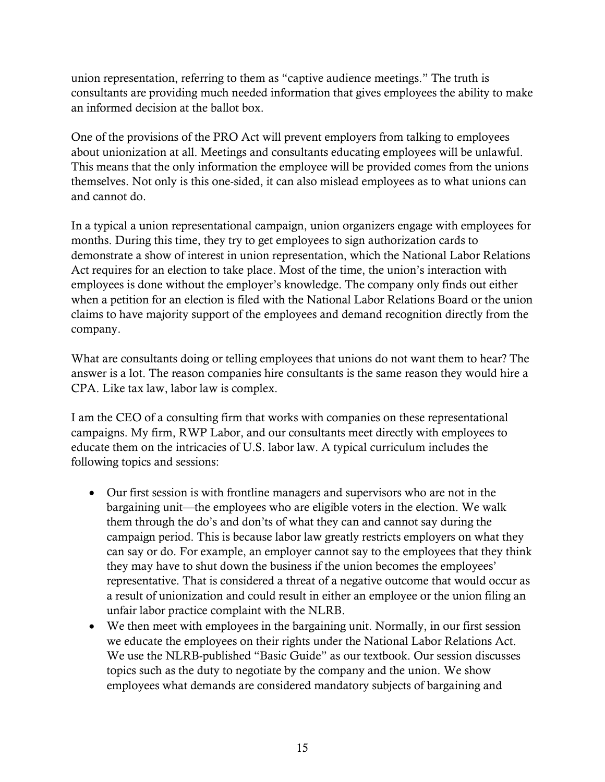union representation, referring to them as "captive audience meetings." The truth is consultants are providing much needed information that gives employees the ability to make an informed decision at the ballot box.

One of the provisions of the PRO Act will prevent employers from talking to employees about unionization at all. Meetings and consultants educating employees will be unlawful. This means that the only information the employee will be provided comes from the unions themselves. Not only is this one-sided, it can also mislead employees as to what unions can and cannot do.

In a typical a union representational campaign, union organizers engage with employees for months. During this time, they try to get employees to sign authorization cards to demonstrate a show of interest in union representation, which the National Labor Relations Act requires for an election to take place. Most of the time, the union's interaction with employees is done without the employer's knowledge. The company only finds out either when a petition for an election is filed with the National Labor Relations Board or the union claims to have majority support of the employees and demand recognition directly from the company.

What are consultants doing or telling employees that unions do not want them to hear? The answer is a lot. The reason companies hire consultants is the same reason they would hire a CPA. Like tax law, labor law is complex.

I am the CEO of a consulting firm that works with companies on these representational campaigns. My firm, RWP Labor, and our consultants meet directly with employees to educate them on the intricacies of U.S. labor law. A typical curriculum includes the following topics and sessions:

- Our first session is with frontline managers and supervisors who are not in the bargaining unit—the employees who are eligible voters in the election. We walk them through the do's and don'ts of what they can and cannot say during the campaign period. This is because labor law greatly restricts employers on what they can say or do. For example, an employer cannot say to the employees that they think they may have to shut down the business if the union becomes the employees' representative. That is considered a threat of a negative outcome that would occur as a result of unionization and could result in either an employee or the union filing an unfair labor practice complaint with the NLRB.
- We then meet with employees in the bargaining unit. Normally, in our first session we educate the employees on their rights under the National Labor Relations Act. We use the NLRB-published "Basic Guide" as our textbook. Our session discusses topics such as the duty to negotiate by the company and the union. We show employees what demands are considered mandatory subjects of bargaining and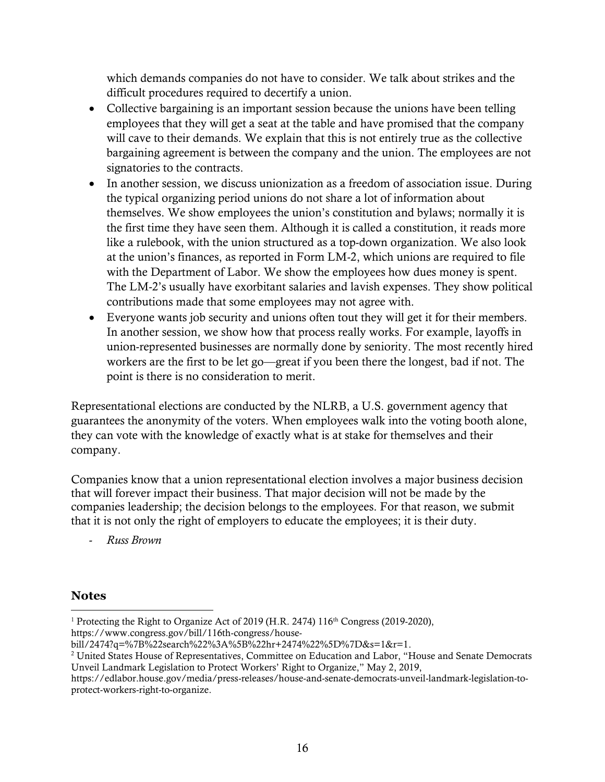which demands companies do not have to consider. We talk about strikes and the difficult procedures required to decertify a union.

- Collective bargaining is an important session because the unions have been telling employees that they will get a seat at the table and have promised that the company will cave to their demands. We explain that this is not entirely true as the collective bargaining agreement is between the company and the union. The employees are not signatories to the contracts.
- In another session, we discuss unionization as a freedom of association issue. During the typical organizing period unions do not share a lot of information about themselves. We show employees the union's constitution and bylaws; normally it is the first time they have seen them. Although it is called a constitution, it reads more like a rulebook, with the union structured as a top-down organization. We also look at the union's finances, as reported in Form LM-2, which unions are required to file with the Department of Labor. We show the employees how dues money is spent. The LM-2's usually have exorbitant salaries and lavish expenses. They show political contributions made that some employees may not agree with.
- Everyone wants job security and unions often tout they will get it for their members. In another session, we show how that process really works. For example, layoffs in union-represented businesses are normally done by seniority. The most recently hired workers are the first to be let go—great if you been there the longest, bad if not. The point is there is no consideration to merit.

Representational elections are conducted by the NLRB, a U.S. government agency that guarantees the anonymity of the voters. When employees walk into the voting booth alone, they can vote with the knowledge of exactly what is at stake for themselves and their company.

Companies know that a union representational election involves a major business decision that will forever impact their business. That major decision will not be made by the companies leadership; the decision belongs to the employees. For that reason, we submit that it is not only the right of employers to educate the employees; it is their duty.

- *Russ Brown*

## **Notes**

<sup>1</sup> Protecting the Right to Organize Act of 2019 (H.R. 2474)  $116<sup>th</sup>$  Congress (2019-2020), https://www.congress.gov/bill/116th-congress/housel

bill/2474?q=%7B%22search%22%3A%5B%22hr+2474%22%5D%7D&s=1&r=1.

<sup>2</sup> United States House of Representatives, Committee on Education and Labor, "House and Senate Democrats Unveil Landmark Legislation to Protect Workers' Right to Organize," May 2, 2019,

https://edlabor.house.gov/media/press-releases/house-and-senate-democrats-unveil-landmark-legislation-toprotect-workers-right-to-organize.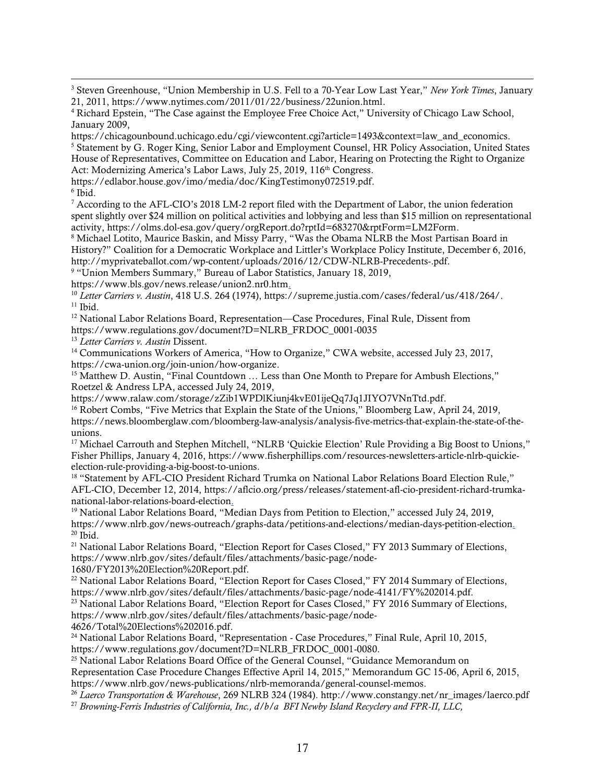<sup>3</sup> Steven Greenhouse, "Union Membership in U.S. Fell to a 70-Year Low Last Year," *New York Times*, January 21, 2011, https://www.nytimes.com/2011/01/22/business/22union.html.

https://chicagounbound.uchicago.edu/cgi/viewcontent.cgi?article=1493&context=law\_and\_economics. <sup>5</sup> Statement by G. Roger King, Senior Labor and Employment Counsel, HR Policy Association, United States House of Representatives, Committee on Education and Labor, Hearing on Protecting the Right to Organize Act: Modernizing America's Labor Laws, July 25, 2019, 116<sup>th</sup> Congress.

6 Ibid.

 $\overline{a}$ 

<sup>7</sup> According to the AFL-CIO's 2018 LM-2 report filed with the Department of Labor, the union federation spent slightly over \$24 million on political activities and lobbying and less than \$15 million on representational activity, https://olms.dol-esa.gov/query/orgReport.do?rptId=683270&rptForm=LM2Form.

<sup>8</sup> Michael Lotito, Maurice Baskin, and Missy Parry, "Was the Obama NLRB the Most Partisan Board in History?" Coalition for a Democratic Workplace and Littler's Workplace Policy Institute, December 6, 2016, http://myprivateballot.com/wp-content/uploads/2016/12/CDW-NLRB-Precedents-.pdf.

<sup>9</sup> "Union Members Summary," Bureau of Labor Statistics, January 18, 2019,

https://www.bls.gov/news.release/union2.nr0.htm.

<sup>10</sup> *Letter Carriers v. Austin*, 418 U.S. 264 (1974), https://supreme.justia.com/cases/federal/us/418/264/.  $11$  Ibid.

<sup>12</sup> National Labor Relations Board, Representation—Case Procedures, Final Rule, Dissent from https://www.regulations.gov/document?D=NLRB\_FRDOC\_0001-0035

<sup>13</sup> *Letter Carriers v. Austin* Dissent.

<sup>14</sup> Communications Workers of America, "How to Organize," CWA website, accessed July 23, 2017, https://cwa-union.org/join-union/how-organize.

<sup>15</sup> Matthew D. Austin, "Final Countdown ... Less than One Month to Prepare for Ambush Elections," Roetzel & Andress LPA, accessed July 24, 2019,

https://www.ralaw.com/storage/zZib1WPDlKiunj4kvE01ijeQq7Jq1JIYO7VNnTtd.pdf.

<sup>16</sup> Robert Combs, "Five Metrics that Explain the State of the Unions," Bloomberg Law, April 24, 2019, https://news.bloomberglaw.com/bloomberg-law-analysis/analysis-five-metrics-that-explain-the-state-of-theunions.

<sup>17</sup> Michael Carrouth and Stephen Mitchell, "NLRB 'Quickie Election' Rule Providing a Big Boost to Unions," Fisher Phillips, January 4, 2016, https://www.fisherphillips.com/resources-newsletters-article-nlrb-quickieelection-rule-providing-a-big-boost-to-unions.

<sup>18</sup> "Statement by AFL-CIO President Richard Trumka on National Labor Relations Board Election Rule," AFL-CIO, December 12, 2014, https://aflcio.org/press/releases/statement-afl-cio-president-richard-trumkanational-labor-relations-board-election.

<sup>19</sup> National Labor Relations Board, "Median Days from Petition to Election," accessed July 24, 2019, https://www.nlrb.gov/news-outreach/graphs-data/petitions-and-elections/median-days-petition-election.  $20$  Ibid.

<sup>21</sup> National Labor Relations Board, "Election Report for Cases Closed," FY 2013 Summary of Elections, https://www.nlrb.gov/sites/default/files/attachments/basic-page/node-

1680/FY2013%20Election%20Report.pdf.

<sup>22</sup> National Labor Relations Board, "Election Report for Cases Closed," FY 2014 Summary of Elections, https://www.nlrb.gov/sites/default/files/attachments/basic-page/node-4141/FY%202014.pdf.

<sup>23</sup> National Labor Relations Board, "Election Report for Cases Closed," FY 2016 Summary of Elections, https://www.nlrb.gov/sites/default/files/attachments/basic-page/node-4626/Total%20Elections%202016.pdf.

<sup>24</sup> National Labor Relations Board, "Representation - Case Procedures," Final Rule, April 10, 2015, https://www.regulations.gov/document?D=NLRB\_FRDOC\_0001-0080.

<sup>25</sup> National Labor Relations Board Office of the General Counsel, "Guidance Memorandum on Representation Case Procedure Changes Effective April 14, 2015," Memorandum GC 15-06, April 6, 2015, https://www.nlrb.gov/news-publications/nlrb-memoranda/general-counsel-memos.

<sup>26</sup> *Laerco Transportation & Warehouse*, 269 NLRB 324 (1984). http://www.constangy.net/nr\_images/laerco.pdf

<sup>27</sup> *Browning-Ferris Industries of California, Inc., d/b/a BFI Newby Island Recyclery and FPR-II, LLC,*

<sup>4</sup> Richard Epstein, "The Case against the Employee Free Choice Act," University of Chicago Law School, January 2009,

https://edlabor.house.gov/imo/media/doc/KingTestimony072519.pdf.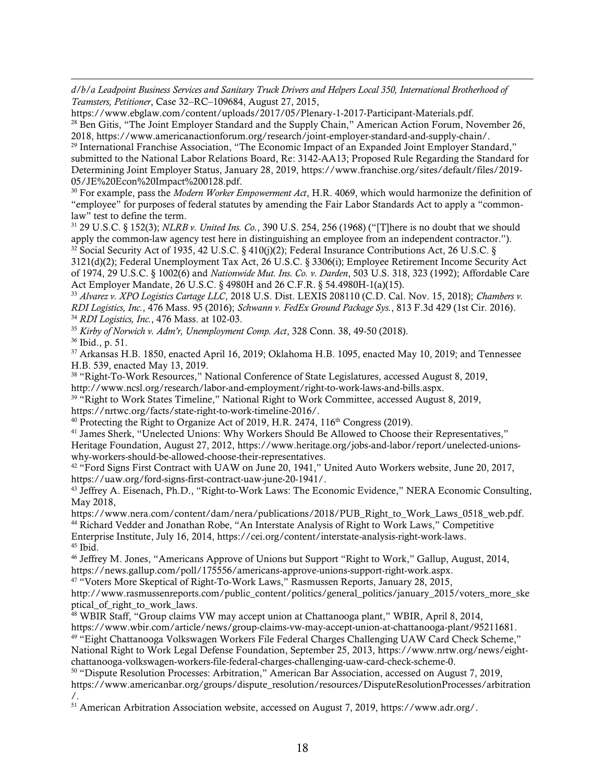$\overline{a}$ *d/b/a Leadpoint Business Services and Sanitary Truck Drivers and Helpers Local 350, International Brotherhood of Teamsters, Petitioner*, Case 32–RC–109684, August 27, 2015,

https://www.ebglaw.com/content/uploads/2017/05/Plenary-1-2017-Participant-Materials.pdf. <sup>28</sup> Ben Gitis, "The Joint Employer Standard and the Supply Chain," American Action Forum, November 26, 2018, https://www.americanactionforum.org/research/joint-employer-standard-and-supply-chain/.

<sup>29</sup> International Franchise Association, "The Economic Impact of an Expanded Joint Employer Standard," submitted to the National Labor Relations Board, Re: 3142-AA13; Proposed Rule Regarding the Standard for Determining Joint Employer Status, January 28, 2019, https://www.franchise.org/sites/default/files/2019- 05/JE%20Econ%20Impact%200128.pdf.

<sup>30</sup> For example, pass the *Modern Worker Empowerment Act*, H.R. 4069, which would harmonize the definition of "employee" for purposes of federal statutes by amending the Fair Labor Standards Act to apply a "commonlaw" test to define the term.

<sup>31</sup> 29 U.S.C. § 152(3); *NLRB v. United Ins. Co.*, 390 U.S. 254, 256 (1968) ("[T]here is no doubt that we should apply the common-law agency test here in distinguishing an employee from an independent contractor."). <sup>32</sup> Social Security Act of 1935, 42 U.S.C. § 410(j)(2); Federal Insurance Contributions Act, 26 U.S.C. §

3121(d)(2); Federal Unemployment Tax Act, 26 U.S.C. § 3306(i); Employee Retirement Income Security Act of 1974, 29 U.S.C. § 1002(6) and *Nationwide Mut. Ins. Co. v. Darden*, 503 U.S. 318, 323 (1992); Affordable Care Act Employer Mandate, 26 U.S.C. § 4980H and 26 C.F.R. § 54.4980H-1(a)(15).

<sup>33</sup> *Alvarez v. XPO Logistics Cartage LLC*, 2018 U.S. Dist. LEXIS 208110 (C.D. Cal. Nov. 15, 2018); *Chambers v. RDI Logistics, Inc.*, 476 Mass. 95 (2016); *Schwann v. FedEx Ground Package Sys.*, 813 F.3d 429 (1st Cir. 2016). <sup>34</sup> *RDI Logistics, Inc.*, 476 Mass. at 102-03.

<sup>35</sup> *Kirby of Norwich v. Adm'r, Unemployment Comp. Act*, 328 Conn. 38, 49-50 (2018).

<sup>36</sup> Ibid., p. 51.

<sup>37</sup> Arkansas H.B. 1850, enacted April 16, 2019; Oklahoma H.B. 1095, enacted May 10, 2019; and Tennessee H.B. 539, enacted May 13, 2019.

<sup>38</sup> "Right-To-Work Resources," National Conference of State Legislatures, accessed August 8, 2019, http://www.ncsl.org/research/labor-and-employment/right-to-work-laws-and-bills.aspx.

<sup>39</sup> "Right to Work States Timeline," National Right to Work Committee, accessed August 8, 2019, https://nrtwc.org/facts/state-right-to-work-timeline-2016/.

 $40$  Protecting the Right to Organize Act of 2019, H.R. 2474, 116<sup>th</sup> Congress (2019).

<sup>41</sup> James Sherk, "Unelected Unions: Why Workers Should Be Allowed to Choose their Representatives," Heritage Foundation, August 27, 2012, https://www.heritage.org/jobs-and-labor/report/unelected-unionswhy-workers-should-be-allowed-choose-their-representatives.

<sup>42</sup> "Ford Signs First Contract with UAW on June 20, 1941," United Auto Workers website, June 20, 2017, https://uaw.org/ford-signs-first-contract-uaw-june-20-1941/.

<sup>43</sup> Jeffrey A. Eisenach, Ph.D., "Right-to-Work Laws: The Economic Evidence," NERA Economic Consulting, May 2018,

https://www.nera.com/content/dam/nera/publications/2018/PUB\_Right\_to\_Work\_Laws\_0518\_web.pdf. <sup>44</sup> Richard Vedder and Jonathan Robe, "An Interstate Analysis of Right to Work Laws," Competitive Enterprise Institute, July 16, 2014, https://cei.org/content/interstate-analysis-right-work-laws. <sup>45</sup> Ibid.

<sup>46</sup> Jeffrey M. Jones, "Americans Approve of Unions but Support "Right to Work," Gallup, August, 2014, https://news.gallup.com/poll/175556/americans-approve-unions-support-right-work.aspx.

<sup>47</sup> "Voters More Skeptical of Right-To-Work Laws," Rasmussen Reports, January 28, 2015,

http://www.rasmussenreports.com/public\_content/politics/general\_politics/january\_2015/voters\_more\_ske ptical of right to work laws.

<sup>48</sup> WBIR Staff, "Group claims VW may accept union at Chattanooga plant," WBIR, April 8, 2014,

https://www.wbir.com/article/news/group-claims-vw-may-accept-union-at-chattanooga-plant/95211681. <sup>49</sup> "Eight Chattanooga Volkswagen Workers File Federal Charges Challenging UAW Card Check Scheme," National Right to Work Legal Defense Foundation, September 25, 2013, https://www.nrtw.org/news/eightchattanooga-volkswagen-workers-file-federal-charges-challenging-uaw-card-check-scheme-0.

<sup>50</sup> "Dispute Resolution Processes: Arbitration," American Bar Association, accessed on August 7, 2019, https://www.americanbar.org/groups/dispute\_resolution/resources/DisputeResolutionProcesses/arbitration /.

<sup>51</sup> American Arbitration Association website, accessed on August 7, 2019, https://www.adr.org/.